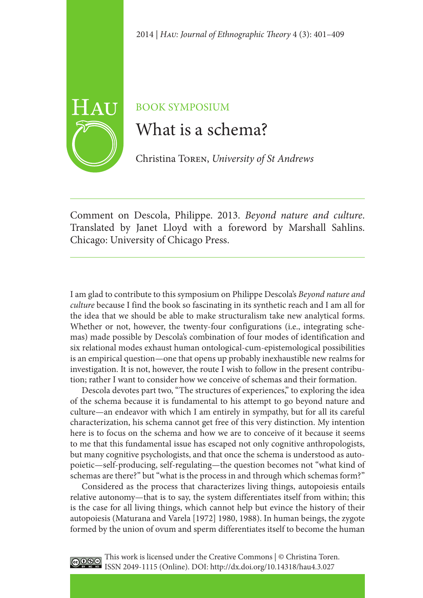

## BOOK SYMPOSIUM

# What is a schema?

Christina Toren, *University of St Andrews*

Comment on Descola, Philippe. 2013. *Beyond nature and culture*. Translated by Janet Lloyd with a foreword by Marshall Sahlins. Chicago: University of Chicago Press.

I am glad to contribute to this symposium on Philippe Descola's *Beyond nature and culture* because I find the book so fascinating in its synthetic reach and I am all for the idea that we should be able to make structuralism take new analytical forms. Whether or not, however, the twenty-four configurations (i.e., integrating schemas) made possible by Descola's combination of four modes of identification and six relational modes exhaust human ontological-cum-epistemological possibilities is an empirical question—one that opens up probably inexhaustible new realms for investigation. It is not, however, the route I wish to follow in the present contribution; rather I want to consider how we conceive of schemas and their formation.

Descola devotes part two, "The structures of experiences," to exploring the idea of the schema because it is fundamental to his attempt to go beyond nature and culture—an endeavor with which I am entirely in sympathy, but for all its careful characterization, his schema cannot get free of this very distinction. My intention here is to focus on the schema and how we are to conceive of it because it seems to me that this fundamental issue has escaped not only cognitive anthropologists, but many cognitive psychologists, and that once the schema is understood as autopoietic—self-producing, self-regulating—the question becomes not "what kind of schemas are there?" but "what is the process in and through which schemas form?"

Considered as the process that characterizes living things, autopoiesis entails relative autonomy—that is to say, the system differentiates itself from within; this is the case for all living things, which cannot help but evince the history of their autopoiesis (Maturana and Varela [1972] 1980, 1988). In human beings, the zygote formed by the union of ovum and sperm differentiates itself to become the human



This work is licensed under the Creative Commons | © Christina Toren. COSO Ihis work is incensed under the Orean of The Institute of ISSN 2049-1115 (Online). DOI: http://dx.doi.org/10.14318/hau4.3.027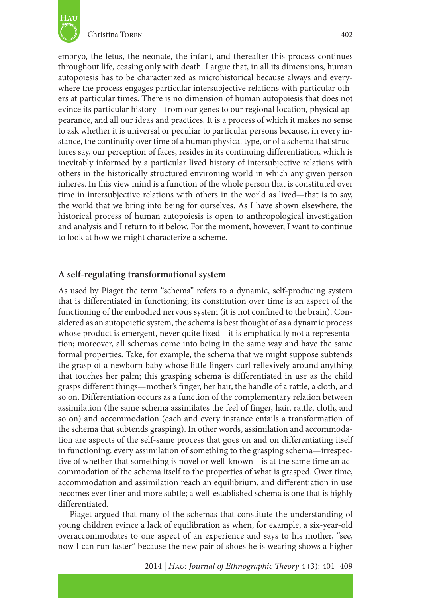

embryo, the fetus, the neonate, the infant, and thereafter this process continues throughout life, ceasing only with death. I argue that, in all its dimensions, human autopoiesis has to be characterized as microhistorical because always and everywhere the process engages particular intersubjective relations with particular others at particular times. There is no dimension of human autopoiesis that does not evince its particular history—from our genes to our regional location, physical appearance, and all our ideas and practices. It is a process of which it makes no sense to ask whether it is universal or peculiar to particular persons because, in every instance, the continuity over time of a human physical type, or of a schema that structures say, our perception of faces, resides in its continuing differentiation, which is inevitably informed by a particular lived history of intersubjective relations with others in the historically structured environing world in which any given person inheres. In this view mind is a function of the whole person that is constituted over time in intersubjective relations with others in the world as lived—that is to say, the world that we bring into being for ourselves. As I have shown elsewhere, the historical process of human autopoiesis is open to anthropological investigation and analysis and I return to it below. For the moment, however, I want to continue to look at how we might characterize a scheme.

#### **A self-regulating transformational system**

As used by Piaget the term "schema" refers to a dynamic, self-producing system that is differentiated in functioning; its constitution over time is an aspect of the functioning of the embodied nervous system (it is not confined to the brain). Considered as an autopoietic system, the schema is best thought of as a dynamic process whose product is emergent, never quite fixed—it is emphatically not a representation; moreover, all schemas come into being in the same way and have the same formal properties. Take, for example, the schema that we might suppose subtends the grasp of a newborn baby whose little fingers curl reflexively around anything that touches her palm; this grasping schema is differentiated in use as the child grasps different things—mother's finger, her hair, the handle of a rattle, a cloth, and so on. Differentiation occurs as a function of the complementary relation between assimilation (the same schema assimilates the feel of finger, hair, rattle, cloth, and so on) and accommodation (each and every instance entails a transformation of the schema that subtends grasping). In other words, assimilation and accommodation are aspects of the self-same process that goes on and on differentiating itself in functioning: every assimilation of something to the grasping schema—irrespective of whether that something is novel or well-known—is at the same time an accommodation of the schema itself to the properties of what is grasped. Over time, accommodation and assimilation reach an equilibrium, and differentiation in use becomes ever finer and more subtle; a well-established schema is one that is highly differentiated.

Piaget argued that many of the schemas that constitute the understanding of young children evince a lack of equilibration as when, for example, a six-year-old overaccommodates to one aspect of an experience and says to his mother, "see, now I can run faster" because the new pair of shoes he is wearing shows a higher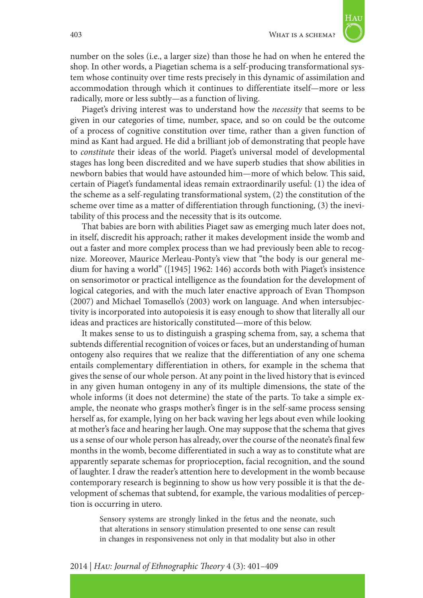

number on the soles (i.e., a larger size) than those he had on when he entered the shop. In other words, a Piagetian schema is a self-producing transformational system whose continuity over time rests precisely in this dynamic of assimilation and accommodation through which it continues to differentiate itself—more or less radically, more or less subtly—as a function of living.

Piaget's driving interest was to understand how the *necessity* that seems to be given in our categories of time, number, space, and so on could be the outcome of a process of cognitive constitution over time, rather than a given function of mind as Kant had argued. He did a brilliant job of demonstrating that people have to *constitute* their ideas of the world. Piaget's universal model of developmental stages has long been discredited and we have superb studies that show abilities in newborn babies that would have astounded him—more of which below. This said, certain of Piaget's fundamental ideas remain extraordinarily useful: (1) the idea of the scheme as a self-regulating transformational system, (2) the constitution of the scheme over time as a matter of differentiation through functioning, (3) the inevitability of this process and the necessity that is its outcome.

That babies are born with abilities Piaget saw as emerging much later does not, in itself, discredit his approach; rather it makes development inside the womb and out a faster and more complex process than we had previously been able to recognize. Moreover, Maurice Merleau-Ponty's view that "the body is our general medium for having a world" ([1945] 1962: 146) accords both with Piaget's insistence on sensorimotor or practical intelligence as the foundation for the development of logical categories, and with the much later enactive approach of Evan Thompson (2007) and Michael Tomasello's (2003) work on language. And when intersubjectivity is incorporated into autopoiesis it is easy enough to show that literally all our ideas and practices are historically constituted—more of this below.

It makes sense to us to distinguish a grasping schema from, say, a schema that subtends differential recognition of voices or faces, but an understanding of human ontogeny also requires that we realize that the differentiation of any one schema entails complementary differentiation in others, for example in the schema that gives the sense of our whole person. At any point in the lived history that is evinced in any given human ontogeny in any of its multiple dimensions, the state of the whole informs (it does not determine) the state of the parts. To take a simple example, the neonate who grasps mother's finger is in the self-same process sensing herself as, for example, lying on her back waving her legs about even while looking at mother's face and hearing her laugh. One may suppose that the schema that gives us a sense of our whole person has already, over the course of the neonate's final few months in the womb, become differentiated in such a way as to constitute what are apparently separate schemas for proprioception, facial recognition, and the sound of laughter. I draw the reader's attention here to development in the womb because contemporary research is beginning to show us how very possible it is that the development of schemas that subtend, for example, the various modalities of perception is occurring in utero.

Sensory systems are strongly linked in the fetus and the neonate, such that alterations in sensory stimulation presented to one sense can result in changes in responsiveness not only in that modality but also in other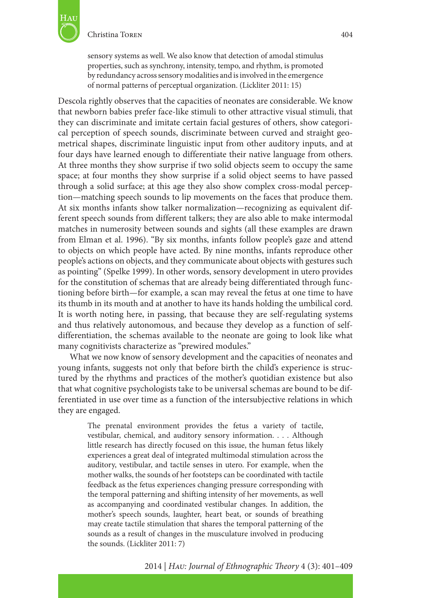

sensory systems as well. We also know that detection of amodal stimulus properties, such as synchrony, intensity, tempo, and rhythm, is promoted by redundancy across sensory modalities and is involved in the emergence of normal patterns of perceptual organization. (Lickliter 2011: 15)

Descola rightly observes that the capacities of neonates are considerable. We know that newborn babies prefer face-like stimuli to other attractive visual stimuli, that they can discriminate and imitate certain facial gestures of others, show categorical perception of speech sounds, discriminate between curved and straight geometrical shapes, discriminate linguistic input from other auditory inputs, and at four days have learned enough to differentiate their native language from others. At three months they show surprise if two solid objects seem to occupy the same space; at four months they show surprise if a solid object seems to have passed through a solid surface; at this age they also show complex cross-modal perception—matching speech sounds to lip movements on the faces that produce them. At six months infants show talker normalization—recognizing as equivalent different speech sounds from different talkers; they are also able to make intermodal matches in numerosity between sounds and sights (all these examples are drawn from Elman et al. 1996). "By six months, infants follow people's gaze and attend to objects on which people have acted. By nine months, infants reproduce other people's actions on objects, and they communicate about objects with gestures such as pointing" (Spelke 1999). In other words, sensory development in utero provides for the constitution of schemas that are already being differentiated through functioning before birth—for example, a scan may reveal the fetus at one time to have its thumb in its mouth and at another to have its hands holding the umbilical cord. It is worth noting here, in passing, that because they are self-regulating systems and thus relatively autonomous, and because they develop as a function of selfdifferentiation, the schemas available to the neonate are going to look like what many cognitivists characterize as "prewired modules."

What we now know of sensory development and the capacities of neonates and young infants, suggests not only that before birth the child's experience is structured by the rhythms and practices of the mother's quotidian existence but also that what cognitive psychologists take to be universal schemas are bound to be differentiated in use over time as a function of the intersubjective relations in which they are engaged.

The prenatal environment provides the fetus a variety of tactile, vestibular, chemical, and auditory sensory information. . . . Although little research has directly focused on this issue, the human fetus likely experiences a great deal of integrated multimodal stimulation across the auditory, vestibular, and tactile senses in utero. For example, when the mother walks, the sounds of her footsteps can be coordinated with tactile feedback as the fetus experiences changing pressure corresponding with the temporal patterning and shifting intensity of her movements, as well as accompanying and coordinated vestibular changes. In addition, the mother's speech sounds, laughter, heart beat, or sounds of breathing may create tactile stimulation that shares the temporal patterning of the sounds as a result of changes in the musculature involved in producing the sounds. (Lickliter 2011: 7)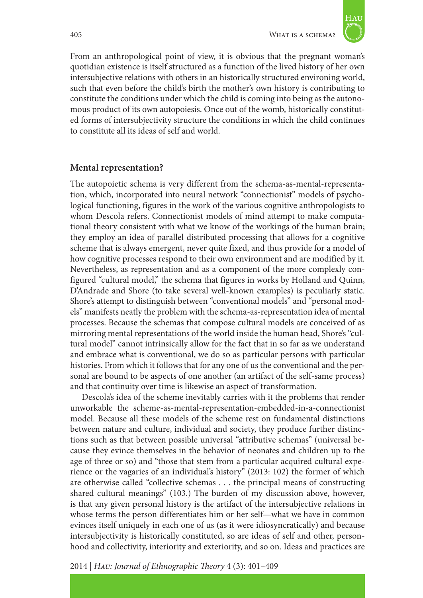

From an anthropological point of view, it is obvious that the pregnant woman's quotidian existence is itself structured as a function of the lived history of her own intersubjective relations with others in an historically structured environing world, such that even before the child's birth the mother's own history is contributing to constitute the conditions under which the child is coming into being as the autonomous product of its own autopoiesis. Once out of the womb, historically constituted forms of intersubjectivity structure the conditions in which the child continues to constitute all its ideas of self and world.

### **Mental representation?**

The autopoietic schema is very different from the schema-as-mental-representation, which, incorporated into neural network "connectionist" models of psychological functioning, figures in the work of the various cognitive anthropologists to whom Descola refers. Connectionist models of mind attempt to make computational theory consistent with what we know of the workings of the human brain; they employ an idea of parallel distributed processing that allows for a cognitive scheme that is always emergent, never quite fixed, and thus provide for a model of how cognitive processes respond to their own environment and are modified by it. Nevertheless, as representation and as a component of the more complexly configured "cultural model," the schema that figures in works by Holland and Quinn, D'Andrade and Shore (to take several well-known examples) is peculiarly static. Shore's attempt to distinguish between "conventional models" and "personal models" manifests neatly the problem with the schema-as-representation idea of mental processes. Because the schemas that compose cultural models are conceived of as mirroring mental representations of the world inside the human head, Shore's "cultural model" cannot intrinsically allow for the fact that in so far as we understand and embrace what is conventional, we do so as particular persons with particular histories. From which it follows that for any one of us the conventional and the personal are bound to be aspects of one another (an artifact of the self-same process) and that continuity over time is likewise an aspect of transformation.

Descola's idea of the scheme inevitably carries with it the problems that render unworkable the scheme-as-mental-representation-embedded-in-a-connectionist model. Because all these models of the scheme rest on fundamental distinctions between nature and culture, individual and society, they produce further distinctions such as that between possible universal "attributive schemas" (universal because they evince themselves in the behavior of neonates and children up to the age of three or so) and "those that stem from a particular acquired cultural experience or the vagaries of an individual's history" (2013: 102) the former of which are otherwise called "collective schemas . . . the principal means of constructing shared cultural meanings" (103.) The burden of my discussion above, however, is that any given personal history is the artifact of the intersubjective relations in whose terms the person differentiates him or her self—what we have in common evinces itself uniquely in each one of us (as it were idiosyncratically) and because intersubjectivity is historically constituted, so are ideas of self and other, personhood and collectivity, interiority and exteriority, and so on. Ideas and practices are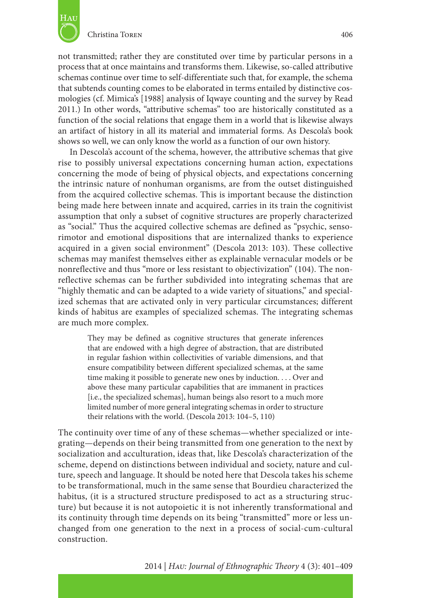

not transmitted; rather they are constituted over time by particular persons in a process that at once maintains and transforms them. Likewise, so-called attributive schemas continue over time to self-differentiate such that, for example, the schema that subtends counting comes to be elaborated in terms entailed by distinctive cosmologies (cf. Mimica's [1988] analysis of Iqwaye counting and the survey by Read 2011.) In other words, "attributive schemas" too are historically constituted as a function of the social relations that engage them in a world that is likewise always an artifact of history in all its material and immaterial forms. As Descola's book shows so well, we can only know the world as a function of our own history.

In Descola's account of the schema, however, the attributive schemas that give rise to possibly universal expectations concerning human action, expectations concerning the mode of being of physical objects, and expectations concerning the intrinsic nature of nonhuman organisms, are from the outset distinguished from the acquired collective schemas. This is important because the distinction being made here between innate and acquired, carries in its train the cognitivist assumption that only a subset of cognitive structures are properly characterized as "social." Thus the acquired collective schemas are defined as "psychic, sensorimotor and emotional dispositions that are internalized thanks to experience acquired in a given social environment" (Descola 2013: 103). These collective schemas may manifest themselves either as explainable vernacular models or be nonreflective and thus "more or less resistant to objectivization" (104). The nonreflective schemas can be further subdivided into integrating schemas that are "highly thematic and can be adapted to a wide variety of situations," and specialized schemas that are activated only in very particular circumstances; different kinds of habitus are examples of specialized schemas. The integrating schemas are much more complex.

They may be defined as cognitive structures that generate inferences that are endowed with a high degree of abstraction, that are distributed in regular fashion within collectivities of variable dimensions, and that ensure compatibility between different specialized schemas, at the same time making it possible to generate new ones by induction. . . . Over and above these many particular capabilities that are immanent in practices [i.e., the specialized schemas], human beings also resort to a much more limited number of more general integrating schemas in order to structure their relations with the world. (Descola 2013: 104–5, 110)

The continuity over time of any of these schemas—whether specialized or integrating—depends on their being transmitted from one generation to the next by socialization and acculturation, ideas that, like Descola's characterization of the scheme, depend on distinctions between individual and society, nature and culture, speech and language. It should be noted here that Descola takes his scheme to be transformational, much in the same sense that Bourdieu characterized the habitus, (it is a structured structure predisposed to act as a structuring structure) but because it is not autopoietic it is not inherently transformational and its continuity through time depends on its being "transmitted" more or less unchanged from one generation to the next in a process of social-cum-cultural construction.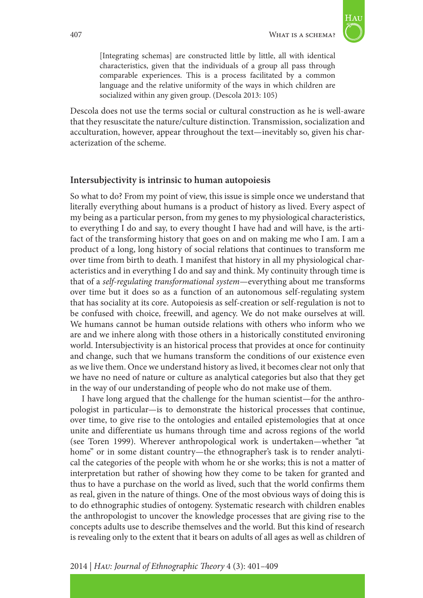

[Integrating schemas] are constructed little by little, all with identical characteristics, given that the individuals of a group all pass through comparable experiences. This is a process facilitated by a common language and the relative uniformity of the ways in which children are socialized within any given group. (Descola 2013: 105)

Descola does not use the terms social or cultural construction as he is well-aware that they resuscitate the nature/culture distinction. Transmission, socialization and acculturation, however, appear throughout the text—inevitably so, given his characterization of the scheme.

#### **Intersubjectivity is intrinsic to human autopoiesis**

So what to do? From my point of view, this issue is simple once we understand that literally everything about humans is a product of history as lived. Every aspect of my being as a particular person, from my genes to my physiological characteristics, to everything I do and say, to every thought I have had and will have, is the artifact of the transforming history that goes on and on making me who I am. I am a product of a long, long history of social relations that continues to transform me over time from birth to death. I manifest that history in all my physiological characteristics and in everything I do and say and think. My continuity through time is that of a *self-regulating transformational system*—everything about me transforms over time but it does so as a function of an autonomous self-regulating system that has sociality at its core. Autopoiesis as self-creation or self-regulation is not to be confused with choice, freewill, and agency. We do not make ourselves at will. We humans cannot be human outside relations with others who inform who we are and we inhere along with those others in a historically constituted environing world. Intersubjectivity is an historical process that provides at once for continuity and change, such that we humans transform the conditions of our existence even as we live them. Once we understand history as lived, it becomes clear not only that we have no need of nature or culture as analytical categories but also that they get in the way of our understanding of people who do not make use of them.

I have long argued that the challenge for the human scientist—for the anthropologist in particular—is to demonstrate the historical processes that continue, over time, to give rise to the ontologies and entailed epistemologies that at once unite and differentiate us humans through time and across regions of the world (see Toren 1999). Wherever anthropological work is undertaken—whether "at home" or in some distant country—the ethnographer's task is to render analytical the categories of the people with whom he or she works; this is not a matter of interpretation but rather of showing how they come to be taken for granted and thus to have a purchase on the world as lived, such that the world confirms them as real, given in the nature of things. One of the most obvious ways of doing this is to do ethnographic studies of ontogeny. Systematic research with children enables the anthropologist to uncover the knowledge processes that are giving rise to the concepts adults use to describe themselves and the world. But this kind of research is revealing only to the extent that it bears on adults of all ages as well as children of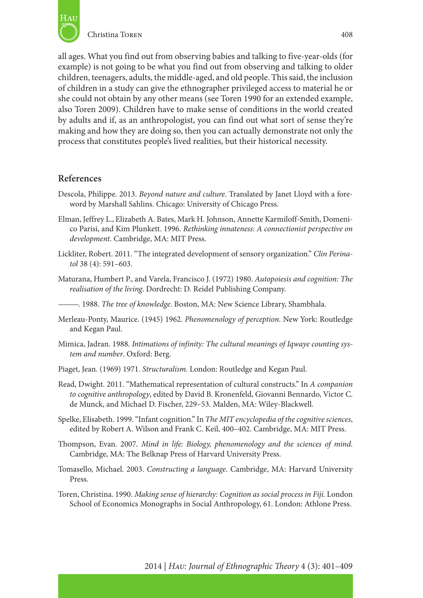

all ages. What you find out from observing babies and talking to five-year-olds (for example) is not going to be what you find out from observing and talking to older children, teenagers, adults, the middle-aged, and old people. This said, the inclusion of children in a study can give the ethnographer privileged access to material he or she could not obtain by any other means (see Toren 1990 for an extended example, also Toren 2009). Children have to make sense of conditions in the world created by adults and if, as an anthropologist, you can find out what sort of sense they're making and how they are doing so, then you can actually demonstrate not only the process that constitutes people's lived realities, but their historical necessity.

#### **References**

- Descola, Philippe. 2013. *Beyond nature and culture*. Translated by Janet Lloyd with a foreword by Marshall Sahlins. Chicago: University of Chicago Press.
- Elman, Jeffrey L., Elizabeth A. Bates, Mark H. Johnson, Annette Karmiloff-Smith, Domenico Parisi, and Kim Plunkett. 1996. *Rethinking innateness: A connectionist perspective on development*. Cambridge, MA: MIT Press.
- Lickliter, Robert. 2011. "The integrated development of sensory organization." *Clin Perinatol* 38 (4): 591–603.
- Maturana, Humbert P., and Varela, Francisco J. (1972) 1980. *Autopoiesis and cognition: The realisation of the living*. Dordrecht: D. Reidel Publishing Company.
- ———. 1988. *The tree of knowledge*. Boston, MA: New Science Library, Shambhala.
- Merleau-Ponty, Maurice. (1945) 1962. *Phenomenology of perception*. New York: Routledge and Kegan Paul.
- Mimica, Jadran. 1988*. Intimations of infinity: The cultural meanings of Iqwaye counting system and number*. Oxford: Berg.
- Piaget, Jean. (1969) 1971. *Structuralism*. London: Routledge and Kegan Paul.
- Read, Dwight. 2011. "Mathematical representation of cultural constructs." In *A companion to cognitive anthropology*, edited by David B. Kronenfeld, Giovanni Bennardo, Victor C. de Munck, and Michael D. Fischer, 229–53*.* Malden, MA: Wiley-Blackwell.
- Spelke, Elisabeth. 1999. "Infant cognition." In *The MIT encyclopedia of the cognitive sciences*, edited by Robert A. Wilson and Frank C. Keil, 400–402. Cambridge, MA: MIT Press.
- Thompson, Evan. 2007. *Mind in life: Biology, phenomenology and the sciences of mind*. Cambridge, MA: The Belknap Press of Harvard University Press.
- Tomasello, Michael. 2003. *Constructing a language*. Cambridge, MA: Harvard University Press.
- Toren, Christina. 1990. *Making sense of hierarchy: Cognition as social process in Fiji*. London School of Economics Monographs in Social Anthropology, 61. London: Athlone Press.